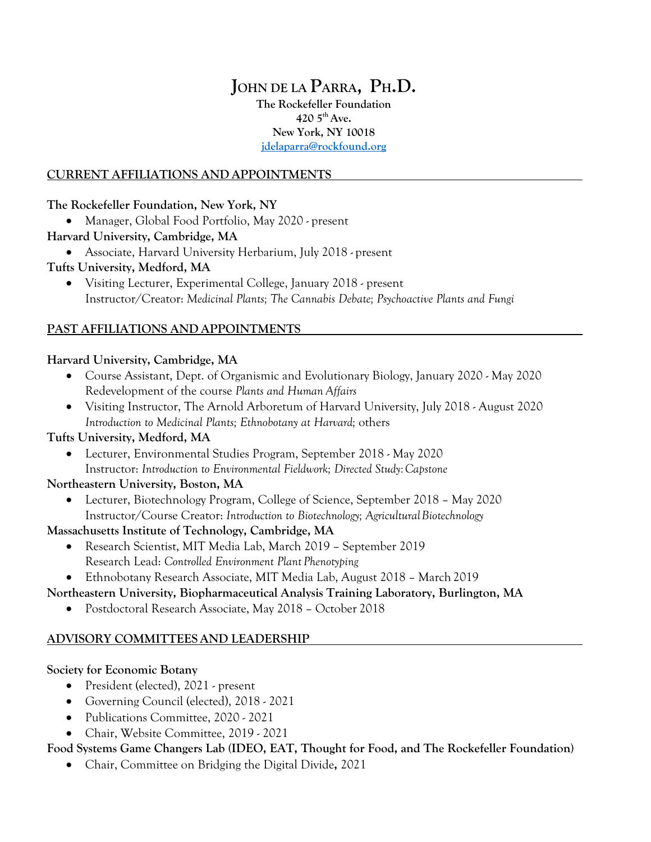# **JOHN DE LA PARRA, PH.D.**

**The Rockefeller Foundation 420 5th Ave. New York, NY 10018 jdelaparra@rockfound.org**

### **CURRENT AFFILIATIONS AND APPOINTMENTS**

### **The Rockefeller Foundation, New York, NY**

• Manager, Global Food Portfolio, May 2020 - present

## **Harvard University, Cambridge, MA**

• Associate, Harvard University Herbarium, July 2018 - present

## **Tufts University, Medford, MA**

• Visiting Lecturer, Experimental College, January 2018 - present Instructor/Creator: *Medicinal Plants; The Cannabis Debate; Psychoactive Plants and Fungi*

## **PAST AFFILIATIONS AND APPOINTMENTS**

## **Harvard University, Cambridge, MA**

- Course Assistant, Dept. of Organismic and Evolutionary Biology, January 2020 May 2020 Redevelopment of the course *Plants and Human Affairs*
- Visiting Instructor, The Arnold Arboretum of Harvard University, July 2018 August 2020 *Introduction to Medicinal Plants; Ethnobotany at Harvard;* others

## **Tufts University, Medford, MA**

• Lecturer, Environmental Studies Program, September 2018 - May 2020 Instructor: *Introduction to Environmental Fieldwork; Directed Study:Capstone*

### **Northeastern University, Boston, MA**

• Lecturer, Biotechnology Program, College of Science, September 2018 – May 2020 Instructor/Course Creator: *Introduction to Biotechnology; AgriculturalBiotechnology*

## **Massachusetts Institute of Technology, Cambridge, MA**

- Research Scientist, MIT Media Lab, March 2019 September 2019 Research Lead: *Controlled Environment Plant Phenotyping*
- Ethnobotany Research Associate, MIT Media Lab, August 2018 March 2019

## **Northeastern University, Biopharmaceutical Analysis Training Laboratory, Burlington, MA**

• Postdoctoral Research Associate, May 2018 – October 2018

## **ADVISORY COMMITTEESAND LEADERSHIP**

## **Society for Economic Botany**

- President (elected), 2021 present
- Governing Council (elected), 2018 2021
- Publications Committee, 2020 2021
- Chair, Website Committee, 2019 2021

## **Food Systems Game Changers Lab (IDEO, EAT, Thought for Food, and The Rockefeller Foundation)**

• Chair, Committee on Bridging the Digital Divide**,** 2021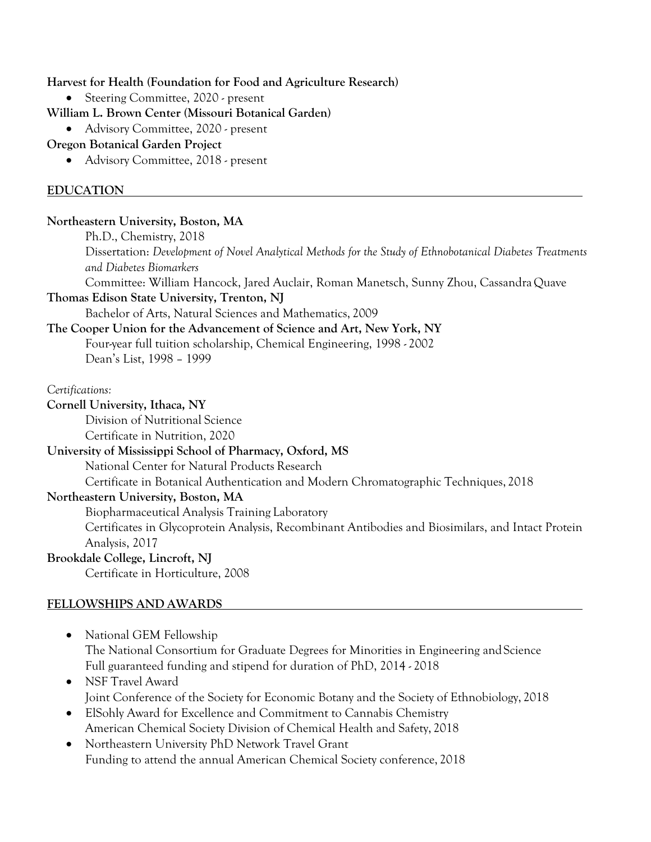### **Harvest for Health (Foundation for Food and Agriculture Research)**

• Steering Committee, 2020 - present

### **William L. Brown Center (Missouri Botanical Garden)**

• Advisory Committee, 2020 - present

### **Oregon Botanical Garden Project**

• Advisory Committee, 2018 - present

### **EDUCATION**

### **Northeastern University, Boston, MA**

Ph.D., Chemistry, 2018 Dissertation: *Development of Novel Analytical Methods for the Study of Ethnobotanical Diabetes Treatments and Diabetes Biomarkers* Committee: William Hancock, Jared Auclair, Roman Manetsch, Sunny Zhou, CassandraQuave

**Thomas Edison State University, Trenton, NJ**

Bachelor of Arts, Natural Sciences and Mathematics, 2009

### **The Cooper Union for the Advancement of Science and Art, New York, NY** Four-year full tuition scholarship, Chemical Engineering, 1998 - 2002 Dean's List, 1998 – 1999

*Certifications:*

**Cornell University, Ithaca, NY**

Division of Nutritional Science

# Certificate in Nutrition, 2020

## **University of Mississippi School of Pharmacy, Oxford, MS**

National Center for Natural Products Research

Certificate in Botanical Authentication and Modern Chromatographic Techniques, 2018

### **Northeastern University, Boston, MA**

Biopharmaceutical Analysis Training Laboratory

Certificates in Glycoprotein Analysis, Recombinant Antibodies and Biosimilars, and Intact Protein Analysis, 2017

### **Brookdale College, Lincroft, NJ**

Certificate in Horticulture, 2008

### **FELLOWSHIPS AND AWARDS**

- National GEM Fellowship The National Consortium for Graduate Degrees for Minorities in Engineering andScience Full guaranteed funding and stipend for duration of PhD, 2014 - 2018
- NSF Travel Award Joint Conference of the Society for Economic Botany and the Society of Ethnobiology, 2018
- ElSohly Award for Excellence and Commitment to Cannabis Chemistry American Chemical Society Division of Chemical Health and Safety, 2018
- Northeastern University PhD Network Travel Grant Funding to attend the annual American Chemical Society conference, 2018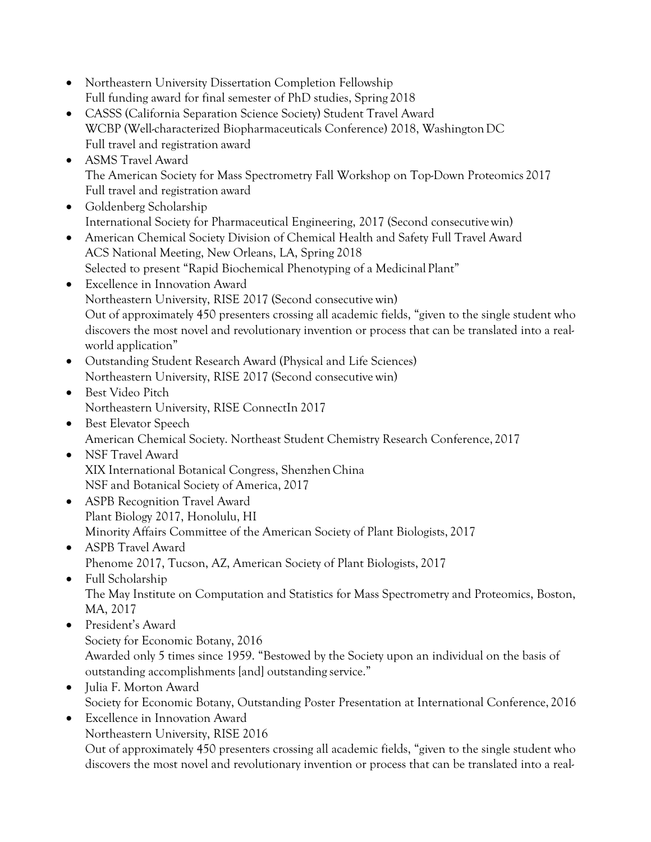- Northeastern University Dissertation Completion Fellowship Full funding award for final semester of PhD studies, Spring 2018
- CASSS (California Separation Science Society) Student Travel Award WCBP (Well-characterized Biopharmaceuticals Conference) 2018, WashingtonDC Full travel and registration award
- ASMS Travel Award The American Society for Mass Spectrometry Fall Workshop on Top-Down Proteomics 2017 Full travel and registration award
- Goldenberg Scholarship International Society for Pharmaceutical Engineering, 2017 (Second consecutivewin)
- American Chemical Society Division of Chemical Health and Safety Full Travel Award ACS National Meeting, New Orleans, LA, Spring 2018 Selected to present "Rapid Biochemical Phenotyping of a Medicinal Plant"
- Excellence in Innovation Award Northeastern University, RISE 2017 (Second consecutive win) Out of approximately 450 presenters crossing all academic fields, "given to the single student who discovers the most novel and revolutionary invention or process that can be translated into a realworld application"
- Outstanding Student Research Award (Physical and Life Sciences) Northeastern University, RISE 2017 (Second consecutive win)
- Best Video Pitch Northeastern University, RISE ConnectIn 2017
- Best Elevator Speech American Chemical Society. Northeast Student Chemistry Research Conference, 2017
- NSF Travel Award XIX International Botanical Congress, Shenzhen China NSF and Botanical Society of America, 2017
- ASPB Recognition Travel Award Plant Biology 2017, Honolulu, HI Minority Affairs Committee of the American Society of Plant Biologists, 2017
- ASPB Travel Award Phenome 2017, Tucson, AZ, American Society of Plant Biologists, 2017
- Full Scholarship The May Institute on Computation and Statistics for Mass Spectrometry and Proteomics, Boston, MA, 2017
- President's Award Society for Economic Botany, 2016 Awarded only 5 times since 1959. "Bestowed by the Society upon an individual on the basis of outstanding accomplishments [and] outstanding service."
- Julia F. Morton Award Society for Economic Botany, Outstanding Poster Presentation at International Conference, 2016
- Excellence in Innovation Award Northeastern University, RISE 2016

Out of approximately 450 presenters crossing all academic fields, "given to the single student who discovers the most novel and revolutionary invention or process that can be translated into a real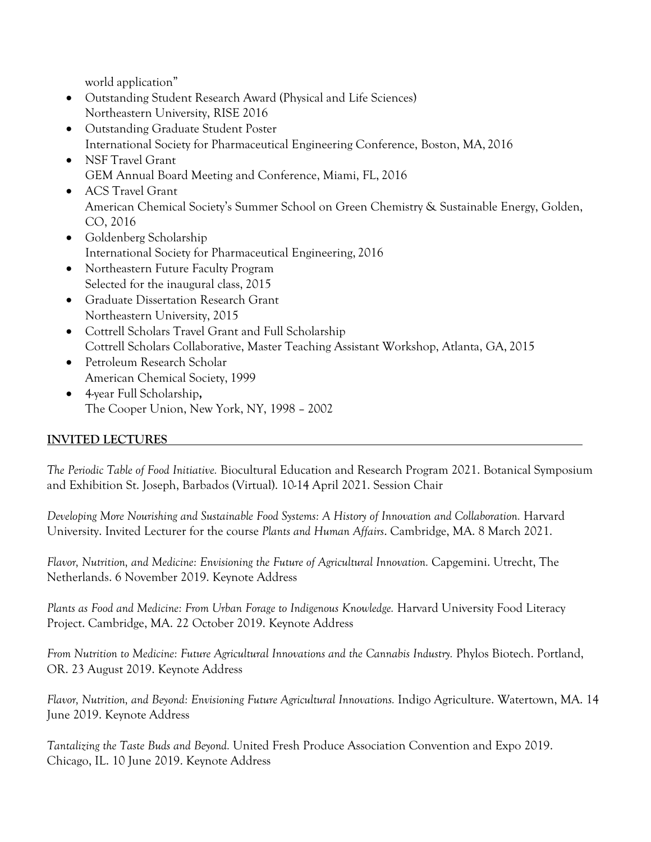world application"

- Outstanding Student Research Award (Physical and Life Sciences) Northeastern University, RISE 2016
- Outstanding Graduate Student Poster International Society for Pharmaceutical Engineering Conference, Boston, MA, 2016
- NSF Travel Grant GEM Annual Board Meeting and Conference, Miami, FL, 2016
- ACS Travel Grant American Chemical Society's Summer School on Green Chemistry & Sustainable Energy, Golden, CO, 2016
- Goldenberg Scholarship International Society for Pharmaceutical Engineering, 2016
- Northeastern Future Faculty Program Selected for the inaugural class, 2015
- Graduate Dissertation Research Grant Northeastern University, 2015
- Cottrell Scholars Travel Grant and Full Scholarship Cottrell Scholars Collaborative, Master Teaching Assistant Workshop, Atlanta, GA, 2015
- Petroleum Research Scholar American Chemical Society, 1999
- 4-year Full Scholarship**,** The Cooper Union, New York, NY, 1998 – 2002

## **INVITED LECTURES**

*The Periodic Table of Food Initiative.* Biocultural Education and Research Program 2021. Botanical Symposium and Exhibition St. Joseph, Barbados (Virtual). 10-14 April 2021. Session Chair

*Developing More Nourishing and Sustainable Food Systems: A History of Innovation and Collaboration.* Harvard University. Invited Lecturer for the course *Plants and Human Affairs*. Cambridge, MA. 8 March 2021.

*Flavor, Nutrition, and Medicine: Envisioning the Future of Agricultural Innovation.* Capgemini. Utrecht, The Netherlands. 6 November 2019. Keynote Address

*Plants as Food and Medicine: From Urban Forage to Indigenous Knowledge.* Harvard University Food Literacy Project. Cambridge, MA. 22 October 2019. Keynote Address

*From Nutrition to Medicine: Future Agricultural Innovations and the Cannabis Industry.* Phylos Biotech. Portland, OR. 23 August 2019. Keynote Address

*Flavor, Nutrition, and Beyond: Envisioning Future Agricultural Innovations.* Indigo Agriculture. Watertown, MA. 14 June 2019. Keynote Address

*Tantalizing the Taste Buds and Beyond.* United Fresh Produce Association Convention and Expo 2019. Chicago, IL. 10 June 2019. Keynote Address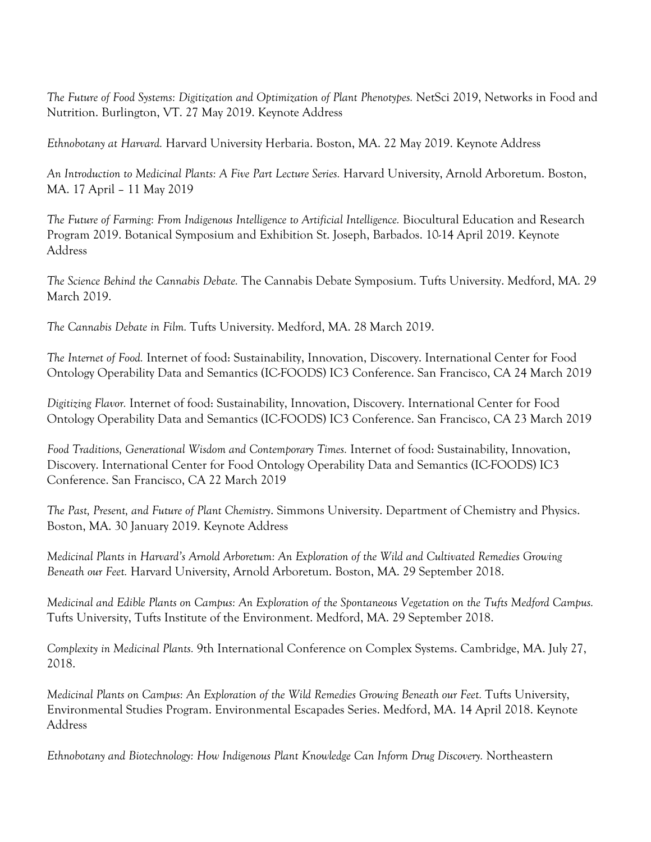*The Future of Food Systems: Digitization and Optimization of Plant Phenotypes.* NetSci 2019, Networks in Food and Nutrition. Burlington, VT. 27 May 2019. Keynote Address

*Ethnobotany at Harvard.* Harvard University Herbaria. Boston, MA. 22 May 2019. Keynote Address

*An Introduction to Medicinal Plants: A Five Part Lecture Series.* Harvard University, Arnold Arboretum. Boston, MA. 17 April – 11 May 2019

*The Future of Farming: From Indigenous Intelligence to Artificial Intelligence.* Biocultural Education and Research Program 2019. Botanical Symposium and Exhibition St. Joseph, Barbados. 10-14 April 2019. Keynote Address

*The Science Behind the Cannabis Debate.* The Cannabis Debate Symposium. Tufts University. Medford, MA. 29 March 2019.

*The Cannabis Debate in Film.* Tufts University. Medford, MA. 28 March 2019.

*The Internet of Food.* Internet of food: Sustainability, Innovation, Discovery. International Center for Food Ontology Operability Data and Semantics (IC-FOODS) IC3 Conference. San Francisco, CA 24 March 2019

*Digitizing Flavor.* Internet of food: Sustainability, Innovation, Discovery. International Center for Food Ontology Operability Data and Semantics (IC-FOODS) IC3 Conference. San Francisco, CA 23 March 2019

*Food Traditions, Generational Wisdom and Contemporary Times.* Internet of food: Sustainability, Innovation, Discovery. International Center for Food Ontology Operability Data and Semantics (IC-FOODS) IC3 Conference. San Francisco, CA 22 March 2019

*The Past, Present, and Future of Plant Chemistry*. Simmons University. Department of Chemistry and Physics. Boston, MA. 30 January 2019. Keynote Address

*Medicinal Plants in Harvard's Arnold Arboretum: An Exploration of the Wild and Cultivated Remedies Growing Beneath our Feet.* Harvard University, Arnold Arboretum. Boston, MA. 29 September 2018.

*Medicinal and Edible Plants on Campus: An Exploration of the Spontaneous Vegetation on the Tufts Medford Campus.* Tufts University, Tufts Institute of the Environment. Medford, MA. 29 September 2018.

*Complexity in Medicinal Plants.* 9th International Conference on Complex Systems. Cambridge, MA. July 27, 2018.

*Medicinal Plants on Campus: An Exploration of the Wild Remedies Growing Beneath our Feet.* Tufts University, Environmental Studies Program. Environmental Escapades Series. Medford, MA. 14 April 2018. Keynote Address

*Ethnobotany and Biotechnology: How Indigenous Plant Knowledge Can Inform Drug Discovery.* Northeastern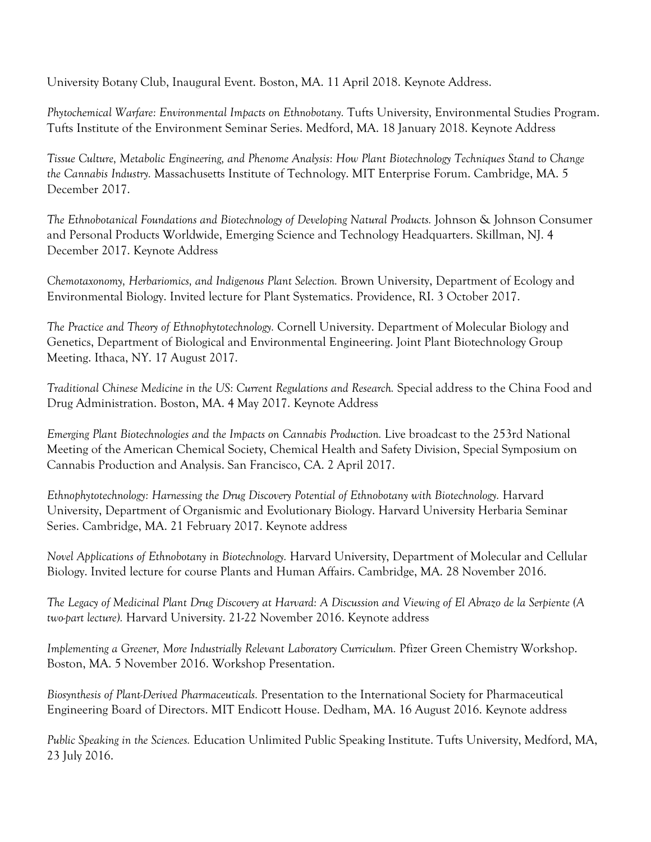University Botany Club, Inaugural Event. Boston, MA. 11 April 2018. Keynote Address.

*Phytochemical Warfare: Environmental Impacts on Ethnobotany.* Tufts University, Environmental Studies Program. Tufts Institute of the Environment Seminar Series. Medford, MA. 18 January 2018. Keynote Address

*Tissue Culture, Metabolic Engineering, and Phenome Analysis: How Plant Biotechnology Techniques Stand to Change the Cannabis Industry.* Massachusetts Institute of Technology. MIT Enterprise Forum. Cambridge, MA. 5 December 2017.

*The Ethnobotanical Foundations and Biotechnology of Developing Natural Products.* Johnson & Johnson Consumer and Personal Products Worldwide, Emerging Science and Technology Headquarters. Skillman, NJ. 4 December 2017. Keynote Address

*Chemotaxonomy, Herbariomics, and Indigenous Plant Selection.* Brown University, Department of Ecology and Environmental Biology. Invited lecture for Plant Systematics. Providence, RI. 3 October 2017.

*The Practice and Theory of Ethnophytotechnology.* Cornell University. Department of Molecular Biology and Genetics, Department of Biological and Environmental Engineering. Joint Plant Biotechnology Group Meeting. Ithaca, NY. 17 August 2017.

*Traditional Chinese Medicine in the US: Current Regulations and Research. Special address to the China Food and* Drug Administration. Boston, MA. 4 May 2017. Keynote Address

*Emerging Plant Biotechnologies and the Impacts on Cannabis Production.* Live broadcast to the 253rd National Meeting of the American Chemical Society, Chemical Health and Safety Division, Special Symposium on Cannabis Production and Analysis. San Francisco, CA. 2 April 2017.

*Ethnophytotechnology: Harnessing the Drug Discovery Potential of Ethnobotany with Biotechnology.* Harvard University, Department of Organismic and Evolutionary Biology. Harvard University Herbaria Seminar Series. Cambridge, MA. 21 February 2017. Keynote address

*Novel Applications of Ethnobotany in Biotechnology.* Harvard University, Department of Molecular and Cellular Biology. Invited lecture for course Plants and Human Affairs. Cambridge, MA. 28 November 2016.

*The Legacy of Medicinal Plant Drug Discovery at Harvard: A Discussion and Viewing of El Abrazo de la Serpiente (A two-part lecture).* Harvard University. 21-22 November 2016. Keynote address

*Implementing a Greener, More Industrially Relevant Laboratory Curriculum.* Pfizer Green Chemistry Workshop. Boston, MA. 5 November 2016. Workshop Presentation.

*Biosynthesis of Plant-Derived Pharmaceuticals.* Presentation to the International Society for Pharmaceutical Engineering Board of Directors. MIT Endicott House. Dedham, MA. 16 August 2016. Keynote address

*Public Speaking in the Sciences.* Education Unlimited Public Speaking Institute. Tufts University, Medford, MA, 23 July 2016.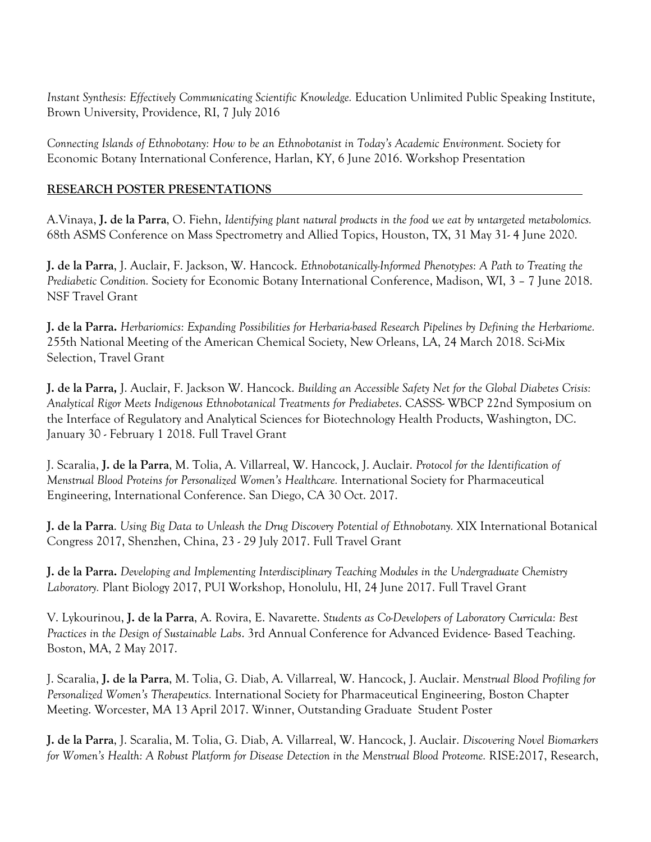*Instant Synthesis: Effectively Communicating Scientific Knowledge.* Education Unlimited Public Speaking Institute, Brown University, Providence, RI, 7 July 2016

*Connecting Islands of Ethnobotany: How to be an Ethnobotanist in Today's Academic Environment.* Society for Economic Botany International Conference, Harlan, KY, 6 June 2016. Workshop Presentation

### **RESEARCH POSTER PRESENTATIONS**

A.Vinaya, **J. de la Parra**, O. Fiehn, *Identifying plant natural products in the food we eat by untargeted metabolomics.*  68th ASMS Conference on Mass Spectrometry and Allied Topics, Houston, TX, 31 May 31- 4 June 2020.

**J. de la Parra**, J. Auclair, F. Jackson, W. Hancock. *Ethnobotanically-Informed Phenotypes: A Path to Treating the Prediabetic Condition.* Society for Economic Botany International Conference, Madison, WI, 3 – 7 June 2018. NSF Travel Grant

**J. de la Parra.** *Herbariomics: Expanding Possibilities for Herbaria-based Research Pipelines by Defining the Herbariome.*  255th National Meeting of the American Chemical Society, New Orleans, LA, 24 March 2018. Sci-Mix Selection, Travel Grant

**J. de la Parra,** J. Auclair, F. Jackson W. Hancock. *Building an Accessible Safety Net for the Global Diabetes Crisis: Analytical Rigor Meets Indigenous Ethnobotanical Treatments for Prediabetes*. CASSS- WBCP 22nd Symposium on the Interface of Regulatory and Analytical Sciences for Biotechnology Health Products, Washington, DC. January 30 - February 1 2018. Full Travel Grant

J. Scaralia, **J. de la Parra**, M. Tolia, A. Villarreal, W. Hancock, J. Auclair. *Protocol for the Identification of Menstrual Blood Proteins for Personalized Women's Healthcare.* International Society for Pharmaceutical Engineering, International Conference. San Diego, CA 30 Oct. 2017.

**J. de la Parra**. *Using Big Data to Unleash the Drug Discovery Potential of Ethnobotany.* XIX International Botanical Congress 2017, Shenzhen, China, 23 - 29 July 2017. Full Travel Grant

**J. de la Parra.** *Developing and Implementing Interdisciplinary Teaching Modules in the Undergraduate Chemistry Laboratory.* Plant Biology 2017, PUI Workshop, Honolulu, HI, 24 June 2017. Full Travel Grant

V. Lykourinou, **J. de la Parra**, A. Rovira, E. Navarette. *Students as Co-Developers of Laboratory Curricula: Best Practices in the Design of Sustainable Labs*. 3rd Annual Conference for Advanced Evidence- Based Teaching. Boston, MA, 2 May 2017.

J. Scaralia, **J. de la Parra**, M. Tolia, G. Diab, A. Villarreal, W. Hancock, J. Auclair. *Menstrual Blood Profiling for Personalized Women's Therapeutics.* International Society for Pharmaceutical Engineering, Boston Chapter Meeting. Worcester, MA 13 April 2017. Winner, Outstanding Graduate Student Poster

**J. de la Parra**, J. Scaralia, M. Tolia, G. Diab, A. Villarreal, W. Hancock, J. Auclair. *Discovering Novel Biomarkers for Women's Health: A Robust Platform for Disease Detection in the Menstrual Blood Proteome.* RISE:2017, Research,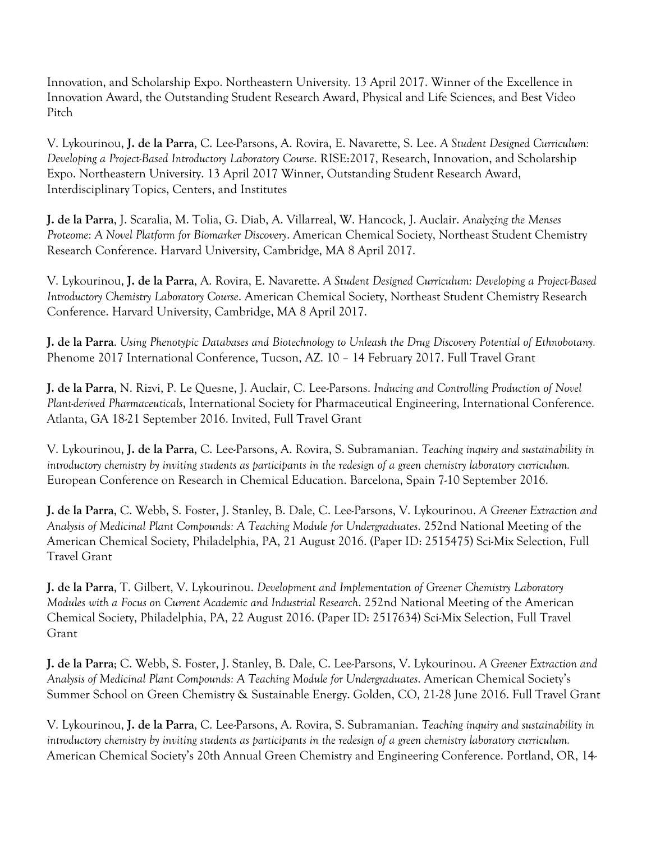Innovation, and Scholarship Expo. Northeastern University. 13 April 2017. Winner of the Excellence in Innovation Award, the Outstanding Student Research Award, Physical and Life Sciences, and Best Video Pitch

V. Lykourinou, **J. de la Parra**, C. Lee-Parsons, A. Rovira, E. Navarette, S. Lee. *A Student Designed Curriculum: Developing a Project-Based Introductory Laboratory Course*. RISE:2017, Research, Innovation, and Scholarship Expo. Northeastern University. 13 April 2017 Winner, Outstanding Student Research Award, Interdisciplinary Topics, Centers, and Institutes

**J. de la Parra**, J. Scaralia, M. Tolia, G. Diab, A. Villarreal, W. Hancock, J. Auclair. *Analyzing the Menses Proteome: A Novel Platform for Biomarker Discovery*. American Chemical Society, Northeast Student Chemistry Research Conference. Harvard University, Cambridge, MA 8 April 2017.

V. Lykourinou, **J. de la Parra**, A. Rovira, E. Navarette. *A Student Designed Curriculum: Developing a Project-Based Introductory Chemistry Laboratory Course*. American Chemical Society, Northeast Student Chemistry Research Conference. Harvard University, Cambridge, MA 8 April 2017.

**J. de la Parra**. *Using Phenotypic Databases and Biotechnology to Unleash the Drug Discovery Potential of Ethnobotany.*  Phenome 2017 International Conference, Tucson, AZ. 10 – 14 February 2017. Full Travel Grant

**J. de la Parra**, N. Rizvi, P. Le Quesne, J. Auclair, C. Lee-Parsons. *Inducing and Controlling Production of Novel Plant-derived Pharmaceuticals*, International Society for Pharmaceutical Engineering, International Conference. Atlanta, GA 18-21 September 2016. Invited, Full Travel Grant

V. Lykourinou, **J. de la Parra**, C. Lee-Parsons, A. Rovira, S. Subramanian. *Teaching inquiry and sustainability in introductory chemistry by inviting students as participants in the redesign of a green chemistry laboratory curriculum.*  European Conference on Research in Chemical Education. Barcelona, Spain 7-10 September 2016.

**J. de la Parra**, C. Webb, S. Foster, J. Stanley, B. Dale, C. Lee-Parsons, V. Lykourinou. *A Greener Extraction and Analysis of Medicinal Plant Compounds: A Teaching Module for Undergraduates*. 252nd National Meeting of the American Chemical Society, Philadelphia, PA, 21 August 2016. (Paper ID: 2515475) Sci-Mix Selection, Full Travel Grant

**J. de la Parra**, T. Gilbert, V. Lykourinou. *Development and Implementation of Greener Chemistry Laboratory Modules with a Focus on Current Academic and Industrial Research*. 252nd National Meeting of the American Chemical Society, Philadelphia, PA, 22 August 2016. (Paper ID: 2517634) Sci-Mix Selection, Full Travel Grant

**J. de la Parra**; C. Webb, S. Foster, J. Stanley, B. Dale, C. Lee-Parsons, V. Lykourinou. *A Greener Extraction and Analysis of Medicinal Plant Compounds: A Teaching Module for Undergraduates*. American Chemical Society's Summer School on Green Chemistry & Sustainable Energy. Golden, CO, 21-28 June 2016. Full Travel Grant

V. Lykourinou, **J. de la Parra**, C. Lee-Parsons, A. Rovira, S. Subramanian. *Teaching inquiry and sustainability in introductory chemistry by inviting students as participants in the redesign of a green chemistry laboratory curriculum.*  American Chemical Society's 20th Annual Green Chemistry and Engineering Conference. Portland, OR, 14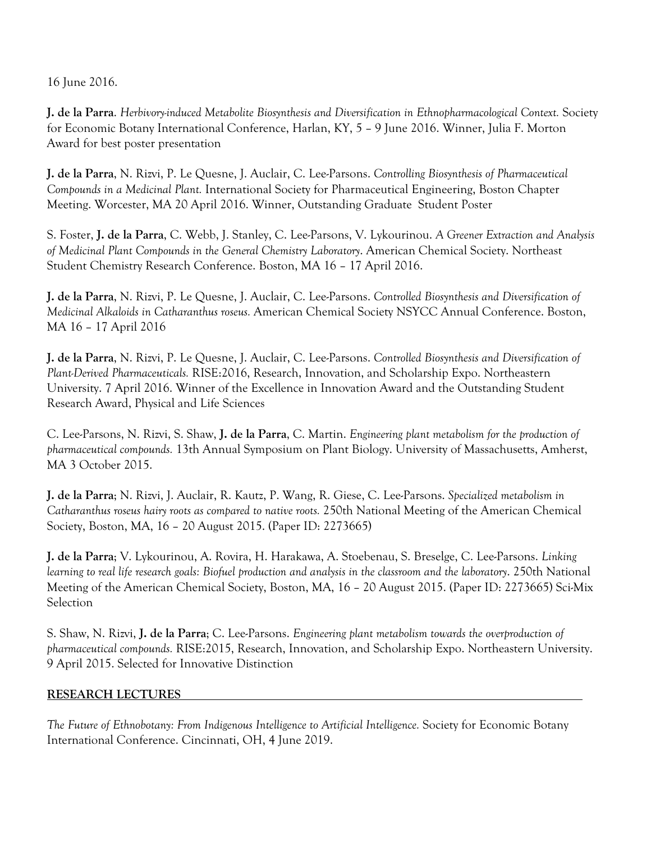16 June 2016.

**J. de la Parra**. *Herbivory-induced Metabolite Biosynthesis and Diversification in Ethnopharmacological Context.* Society for Economic Botany International Conference, Harlan, KY, 5 – 9 June 2016. Winner, Julia F. Morton Award for best poster presentation

**J. de la Parra**, N. Rizvi, P. Le Quesne, J. Auclair, C. Lee-Parsons. *Controlling Biosynthesis of Pharmaceutical Compounds in a Medicinal Plant.* International Society for Pharmaceutical Engineering, Boston Chapter Meeting. Worcester, MA 20 April 2016. Winner, Outstanding Graduate Student Poster

S. Foster, **J. de la Parra**, C. Webb, J. Stanley, C. Lee-Parsons, V. Lykourinou. *A Greener Extraction and Analysis of Medicinal Plant Compounds in the General Chemistry Laboratory*. American Chemical Society. Northeast Student Chemistry Research Conference. Boston, MA 16 – 17 April 2016.

**J. de la Parra**, N. Rizvi, P. Le Quesne, J. Auclair, C. Lee-Parsons. *Controlled Biosynthesis and Diversification of Medicinal Alkaloids in Catharanthus roseus.* American Chemical Society NSYCC Annual Conference. Boston, MA 16 – 17 April 2016

**J. de la Parra**, N. Rizvi, P. Le Quesne, J. Auclair, C. Lee-Parsons. *Controlled Biosynthesis and Diversification of Plant-Derived Pharmaceuticals.* RISE:2016, Research, Innovation, and Scholarship Expo. Northeastern University. 7 April 2016. Winner of the Excellence in Innovation Award and the Outstanding Student Research Award, Physical and Life Sciences

C. Lee-Parsons, N. Rizvi, S. Shaw, **J. de la Parra**, C. Martin. *Engineering plant metabolism for the production of pharmaceutical compounds.* 13th Annual Symposium on Plant Biology. University of Massachusetts, Amherst, MA 3 October 2015.

**J. de la Parra**; N. Rizvi, J. Auclair, R. Kautz, P. Wang, R. Giese, C. Lee-Parsons. *Specialized metabolism in Catharanthus roseus hairy roots as compared to native roots.* 250th National Meeting of the American Chemical Society, Boston, MA, 16 – 20 August 2015. (Paper ID: 2273665)

**J. de la Parra**; V. Lykourinou, A. Rovira, H. Harakawa, A. Stoebenau, S. Breselge, C. Lee-Parsons. *Linking learning to real life research goals: Biofuel production and analysis in the classroom and the laboratory*. 250th National Meeting of the American Chemical Society, Boston, MA, 16 – 20 August 2015. (Paper ID: 2273665) Sci-Mix Selection

S. Shaw, N. Rizvi, **J. de la Parra**; C. Lee-Parsons. *Engineering plant metabolism towards the overproduction of pharmaceutical compounds.* RISE:2015, Research, Innovation, and Scholarship Expo. Northeastern University. 9 April 2015. Selected for Innovative Distinction

### **RESEARCH LECTURES**

*The Future of Ethnobotany: From Indigenous Intelligence to Artificial Intelligence.* Society for Economic Botany International Conference. Cincinnati, OH, 4 June 2019.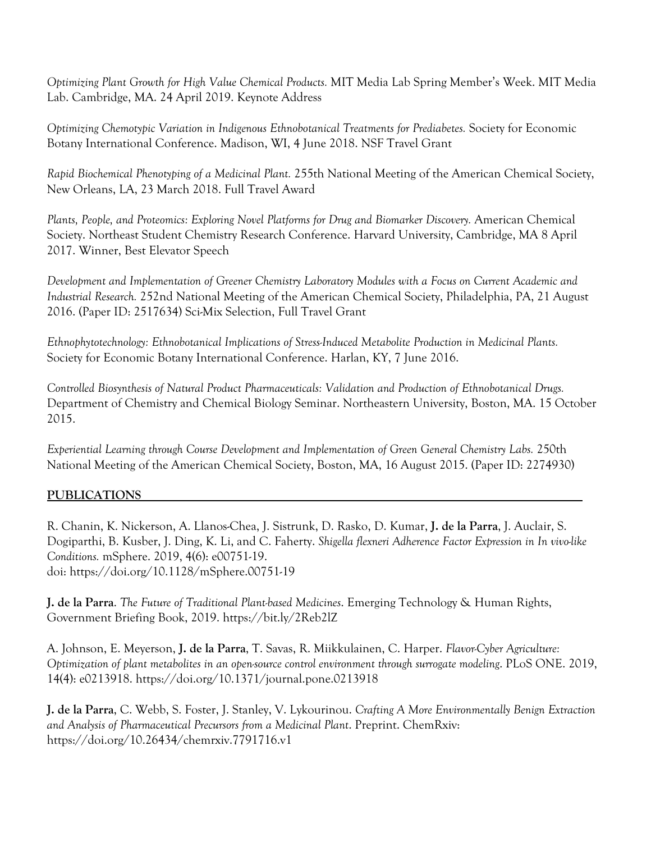*Optimizing Plant Growth for High Value Chemical Products.* MIT Media Lab Spring Member's Week. MIT Media Lab. Cambridge, MA. 24 April 2019. Keynote Address

*Optimizing Chemotypic Variation in Indigenous Ethnobotanical Treatments for Prediabetes.* Society for Economic Botany International Conference. Madison, WI, 4 June 2018. NSF Travel Grant

*Rapid Biochemical Phenotyping of a Medicinal Plant.* 255th National Meeting of the American Chemical Society, New Orleans, LA, 23 March 2018. Full Travel Award

*Plants, People, and Proteomics: Exploring Novel Platforms for Drug and Biomarker Discovery.* American Chemical Society. Northeast Student Chemistry Research Conference. Harvard University, Cambridge, MA 8 April 2017. Winner, Best Elevator Speech

*Development and Implementation of Greener Chemistry Laboratory Modules with a Focus on Current Academic and Industrial Research.* 252nd National Meeting of the American Chemical Society, Philadelphia, PA, 21 August 2016. (Paper ID: 2517634) Sci-Mix Selection, Full Travel Grant

*Ethnophytotechnology: Ethnobotanical Implications of Stress-Induced Metabolite Production in Medicinal Plants.* Society for Economic Botany International Conference. Harlan, KY, 7 June 2016.

*Controlled Biosynthesis of Natural Product Pharmaceuticals: Validation and Production of Ethnobotanical Drugs.* Department of Chemistry and Chemical Biology Seminar. Northeastern University, Boston, MA. 15 October 2015.

*Experiential Learning through Course Development and Implementation of Green General Chemistry Labs.* 250th National Meeting of the American Chemical Society, Boston, MA, 16 August 2015. (Paper ID: 2274930)

## **PUBLICATIONS**

R. Chanin, K. Nickerson, A. Llanos-Chea, J. Sistrunk, D. Rasko, D. Kumar, **J. de la Parra**, J. Auclair, S. Dogiparthi, B. Kusber, J. Ding, K. Li, and C. Faherty. *Shigella flexneri Adherence Factor Expression in In vivo-like Conditions.* mSphere. 2019, 4(6): e00751-19. doi: https://doi.org/10.1128/mSphere.00751-19

**J. de la Parra**. *The Future of Traditional Plant-based Medicines*. Emerging Technology & Human Rights, Government Briefing Book, 2019. https://bit.ly/2Reb2lZ

A. Johnson, E. Meyerson, **J. de la Parra**, T. Savas, R. Miikkulainen, C. Harper. *Flavor-Cyber Agriculture: Optimization of plant metabolites in an open-source control environment through surrogate modeling*. PLoS ONE. 2019, 14(4): e0213918. https://doi.org/10.1371/journal.pone.0213918

**J. de la Parra**, C. Webb, S. Foster, J. Stanley, V. Lykourinou. *Crafting A More Environmentally Benign Extraction and Analysis of Pharmaceutical Precursors from a Medicinal Plant*. Preprint. ChemRxiv: https://doi.org/10.26434/chemrxiv.7791716.v1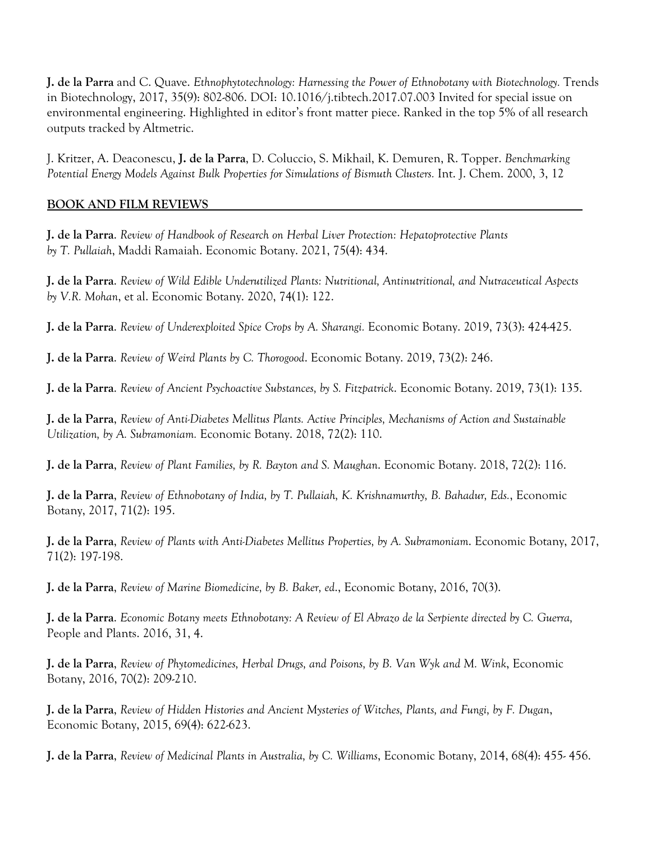**J. de la Parra** and C. Quave. *Ethnophytotechnology: Harnessing the Power of Ethnobotany with Biotechnology.* Trends in Biotechnology, 2017, 35(9): 802-806. DOI: 10.1016/j.tibtech.2017.07.003 Invited for special issue on environmental engineering. Highlighted in editor's front matter piece. Ranked in the top 5% of all research outputs tracked by Altmetric.

J. Kritzer, A. Deaconescu, **J. de la Parra**, D. Coluccio, S. Mikhail, K. Demuren, R. Topper. *Benchmarking Potential Energy Models Against Bulk Properties for Simulations of Bismuth Clusters.* Int. J. Chem. 2000, 3, 12

### **BOOK AND FILM REVIEWS**

**J. de la Parra**. *Review of Handbook of Research on Herbal Liver Protection: Hepatoprotective Plants by T. Pullaiah*, Maddi Ramaiah. Economic Botany. 2021, 75(4): 434.

**J. de la Parra**. *Review of Wild Edible Underutilized Plants: Nutritional, Antinutritional, and Nutraceutical Aspects by V.R. Mohan*, et al. Economic Botany. 2020, 74(1): 122.

**J. de la Parra**. *Review of Underexploited Spice Crops by A. Sharangi.* Economic Botany. 2019, 73(3): 424-425.

**J. de la Parra**. *Review of Weird Plants by C. Thorogood*. Economic Botany. 2019, 73(2): 246.

**J. de la Parra**. *Review of Ancient Psychoactive Substances, by S. Fitzpatrick*. Economic Botany. 2019, 73(1): 135.

**J. de la Parra**, *Review of Anti-Diabetes Mellitus Plants. Active Principles, Mechanisms of Action and Sustainable Utilization, by A. Subramoniam.* Economic Botany. 2018, 72(2): 110.

**J. de la Parra**, *Review of Plant Families, by R. Bayton and S. Maughan*. Economic Botany. 2018, 72(2): 116.

**J. de la Parra**, *Review of Ethnobotany of India, by T. Pullaiah, K. Krishnamurthy, B. Bahadur, Eds.*, Economic Botany, 2017, 71(2): 195.

**J. de la Parra**, *Review of Plants with Anti-Diabetes Mellitus Properties, by A. Subramoniam*. Economic Botany, 2017, 71(2): 197-198.

**J. de la Parra**, *Review of Marine Biomedicine, by B. Baker, ed*., Economic Botany, 2016, 70(3).

**J. de la Parra**. *Economic Botany meets Ethnobotany: A Review of El Abrazo de la Serpiente directed by C. Guerra,*  People and Plants. 2016, 31, 4.

**J. de la Parra**, *Review of Phytomedicines, Herbal Drugs, and Poisons, by B. Van Wyk and M. Wink*, Economic Botany, 2016, 70(2): 209-210.

**J. de la Parra**, *Review of Hidden Histories and Ancient Mysteries of Witches, Plants, and Fungi, by F. Dugan*, Economic Botany, 2015, 69(4): 622-623.

**J. de la Parra**, *Review of Medicinal Plants in Australia, by C. Williams*, Economic Botany, 2014, 68(4): 455- 456.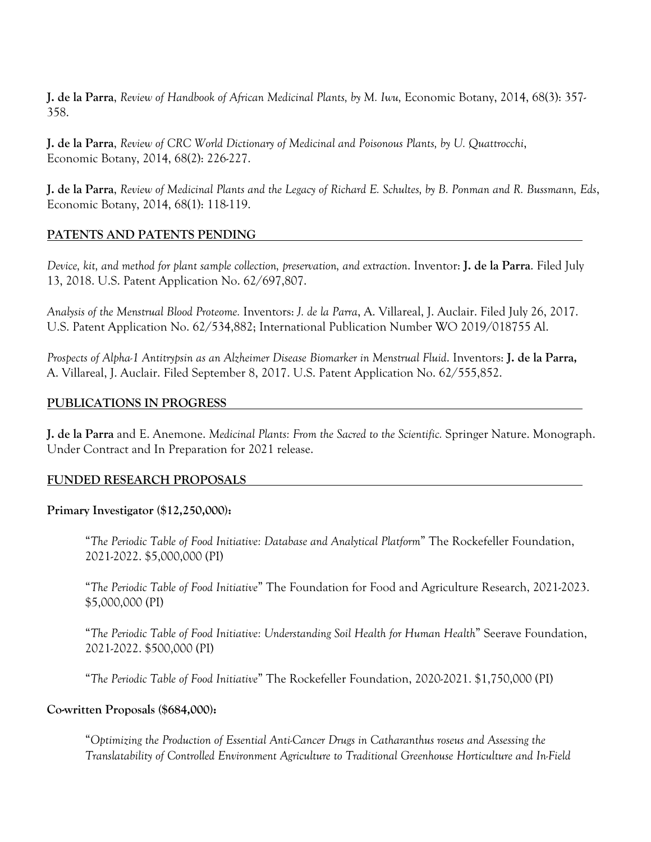**J. de la Parra**, *Review of Handbook of African Medicinal Plants, by M. Iwu,* Economic Botany, 2014, 68(3): 357- 358.

**J. de la Parra**, *Review of CRC World Dictionary of Medicinal and Poisonous Plants, by U. Quattrocchi*, Economic Botany, 2014, 68(2): 226-227.

**J. de la Parra**, *Review of Medicinal Plants and the Legacy of Richard E. Schultes, by B. Ponman and R. Bussmann, Eds*, Economic Botany, 2014, 68(1): 118-119.

### **PATENTS AND PATENTS PENDING**

*Device, kit, and method for plant sample collection, preservation, and extraction*. Inventor: **J. de la Parra**. Filed July 13, 2018. U.S. Patent Application No. 62/697,807.

*Analysis of the Menstrual Blood Proteome.* Inventors: *J. de la Parra*, A. Villareal, J. Auclair. Filed July 26, 2017. U.S. Patent Application No. 62/534,882; International Publication Number WO 2019/018755 Al.

*Prospects of Alpha-1 Antitrypsin as an Alzheimer Disease Biomarker in Menstrual Fluid*. Inventors: **J. de la Parra,** A. Villareal, J. Auclair. Filed September 8, 2017. U.S. Patent Application No. 62/555,852.

### **PUBLICATIONS IN PROGRESS**

**J. de la Parra** and E. Anemone. *Medicinal Plants: From the Sacred to the Scientific.* Springer Nature. Monograph. Under Contract and In Preparation for 2021 release.

### **FUNDED RESEARCH PROPOSALS**

### **Primary Investigator (\$12,250,000):**

"*The Periodic Table of Food Initiative: Database and Analytical Platform*" The Rockefeller Foundation, 2021-2022. \$5,000,000 (PI)

"*The Periodic Table of Food Initiative*" The Foundation for Food and Agriculture Research, 2021-2023. \$5,000,000 (PI)

"*The Periodic Table of Food Initiative: Understanding Soil Health for Human Health*" Seerave Foundation, 2021-2022. \$500,000 (PI)

"*The Periodic Table of Food Initiative*" The Rockefeller Foundation, 2020-2021. \$1,750,000 (PI)

### **Co-written Proposals (\$684,000):**

"*Optimizing the Production of Essential Anti-Cancer Drugs in Catharanthus roseus and Assessing the Translatability of Controlled Environment Agriculture to Traditional Greenhouse Horticulture and In-Field*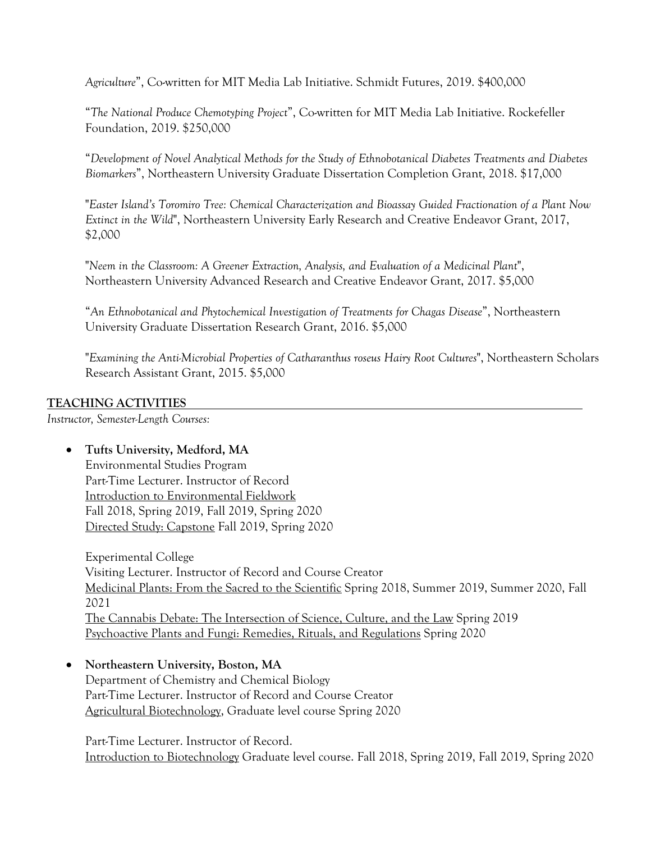*Agriculture*", Co-written for MIT Media Lab Initiative. Schmidt Futures, 2019. \$400,000

"*The National Produce Chemotyping Project*", Co-written for MIT Media Lab Initiative. Rockefeller Foundation, 2019. \$250,000

"*Development of Novel Analytical Methods for the Study of Ethnobotanical Diabetes Treatments and Diabetes Biomarkers*", Northeastern University Graduate Dissertation Completion Grant, 2018. \$17,000

"*Easter Island's Toromiro Tree: Chemical Characterization and Bioassay Guided Fractionation of a Plant Now Extinct in the Wild*", Northeastern University Early Research and Creative Endeavor Grant, 2017, \$2,000

"*Neem in the Classroom: A Greener Extraction, Analysis, and Evaluation of a Medicinal Plant*", Northeastern University Advanced Research and Creative Endeavor Grant, 2017. \$5,000

"*An Ethnobotanical and Phytochemical Investigation of Treatments for Chagas Disease*", Northeastern University Graduate Dissertation Research Grant, 2016. \$5,000

"*Examining the Anti-Microbial Properties of Catharanthus roseus Hairy Root Cultures*", Northeastern Scholars Research Assistant Grant, 2015. \$5,000

### **TEACHING ACTIVITIES**

*Instructor, Semester-Length Courses:*

### • **Tufts University, Medford, MA**

Environmental Studies Program Part-Time Lecturer. Instructor of Record Introduction to Environmental Fieldwork Fall 2018, Spring 2019, Fall 2019, Spring 2020 Directed Study: Capstone Fall 2019, Spring 2020

Experimental College Visiting Lecturer. Instructor of Record and Course Creator Medicinal Plants: From the Sacred to the Scientific Spring 2018, Summer 2019, Summer 2020, Fall 2021 The Cannabis Debate: The Intersection of Science, Culture, and the Law Spring 2019 Psychoactive Plants and Fungi: Remedies, Rituals, and Regulations Spring 2020

### • **Northeastern University, Boston, MA** Department of Chemistry and Chemical Biology Part-Time Lecturer. Instructor of Record and Course Creator Agricultural Biotechnology, Graduate level course Spring 2020

Part-Time Lecturer. Instructor of Record. Introduction to Biotechnology Graduate level course. Fall 2018, Spring 2019, Fall 2019, Spring 2020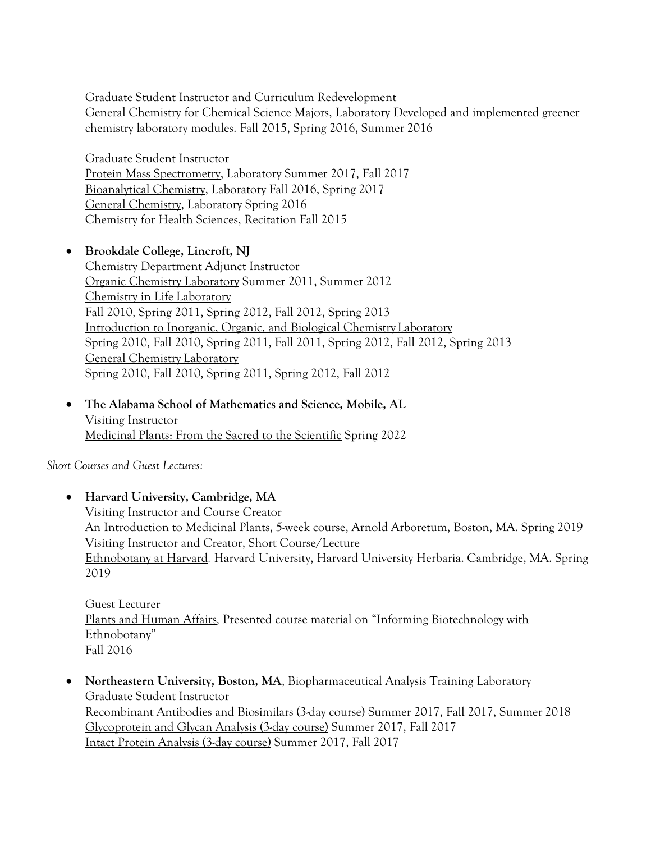Graduate Student Instructor and Curriculum Redevelopment General Chemistry for Chemical Science Majors, Laboratory Developed and implemented greener chemistry laboratory modules. Fall 2015, Spring 2016, Summer 2016

Graduate Student Instructor Protein Mass Spectrometry, Laboratory Summer 2017, Fall 2017 Bioanalytical Chemistry, Laboratory Fall 2016, Spring 2017 General Chemistry, Laboratory Spring 2016 Chemistry for Health Sciences, Recitation Fall 2015

## • **Brookdale College, Lincroft, NJ**

Chemistry Department Adjunct Instructor Organic Chemistry Laboratory Summer 2011, Summer 2012 Chemistry in Life Laboratory Fall 2010, Spring 2011, Spring 2012, Fall 2012, Spring 2013 Introduction to Inorganic, Organic, and Biological Chemistry Laboratory Spring 2010, Fall 2010, Spring 2011, Fall 2011, Spring 2012, Fall 2012, Spring 2013 General Chemistry Laboratory Spring 2010, Fall 2010, Spring 2011, Spring 2012, Fall 2012

• **The Alabama School of Mathematics and Science, Mobile, AL** Visiting Instructor Medicinal Plants: From the Sacred to the Scientific Spring 2022

*Short Courses and Guest Lectures:*

## • **Harvard University, Cambridge, MA** Visiting Instructor and Course Creator An Introduction to Medicinal Plants, 5-week course, Arnold Arboretum, Boston, MA. Spring 2019 Visiting Instructor and Creator, Short Course/Lecture Ethnobotany at Harvard*.* Harvard University, Harvard University Herbaria. Cambridge, MA. Spring 2019

Guest Lecturer Plants and Human Affairs*,* Presented course material on "Informing Biotechnology with Ethnobotany" Fall 2016

• **Northeastern University, Boston, MA**, Biopharmaceutical Analysis Training Laboratory Graduate Student Instructor Recombinant Antibodies and Biosimilars (3-day course) Summer 2017, Fall 2017, Summer 2018 Glycoprotein and Glycan Analysis (3-day course) Summer 2017, Fall 2017 Intact Protein Analysis (3-day course) Summer 2017, Fall 2017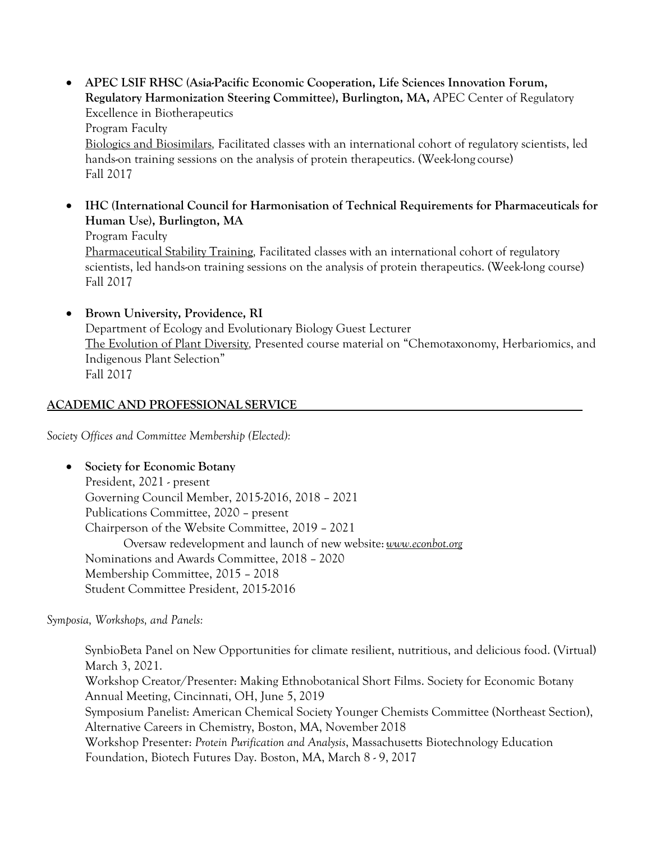• **APEC LSIF RHSC (Asia-Pacific Economic Cooperation, Life Sciences Innovation Forum, Regulatory Harmonization Steering Committee), Burlington, MA,** APEC Center of Regulatory Excellence in Biotherapeutics

Program Faculty

Biologics and Biosimilars*,* Facilitated classes with an international cohort of regulatory scientists, led hands-on training sessions on the analysis of protein therapeutics. (Week-long course) Fall 2017

- **IHC (International Council for Harmonisation of Technical Requirements for Pharmaceuticals for Human Use), Burlington, MA** Program Faculty Pharmaceutical Stability Training*,* Facilitated classes with an international cohort of regulatory scientists, led hands-on training sessions on the analysis of protein therapeutics. (Week-long course) Fall 2017
- **Brown University, Providence, RI**  Department of Ecology and Evolutionary Biology Guest Lecturer The Evolution of Plant Diversity*,* Presented course material on "Chemotaxonomy, Herbariomics, and Indigenous Plant Selection" Fall 2017

## **ACADEMIC AND PROFESSIONAL SERVICE**

*Society Offices and Committee Membership (Elected):*

## • **Society for Economic Botany**

President, 2021 - present Governing Council Member, 2015-2016, 2018 – 2021 Publications Committee, 2020 – present Chairperson of the Website Committee, 2019 – 2021 Oversaw redevelopment and launch of new website: *www.econbot.org* Nominations and Awards Committee, 2018 – 2020 Membership Committee, 2015 – 2018 Student Committee President, 2015-2016

*Symposia, Workshops, and Panels:*

SynbioBeta Panel on New Opportunities for climate resilient, nutritious, and delicious food. (Virtual) March 3, 2021. Workshop Creator/Presenter: Making Ethnobotanical Short Films. Society for Economic Botany Annual Meeting, Cincinnati, OH, June 5, 2019 Symposium Panelist: American Chemical Society Younger Chemists Committee (Northeast Section), Alternative Careers in Chemistry, Boston, MA, November 2018 Workshop Presenter: *Protein Purification and Analysis*, Massachusetts Biotechnology Education Foundation, Biotech Futures Day. Boston, MA, March 8 - 9, 2017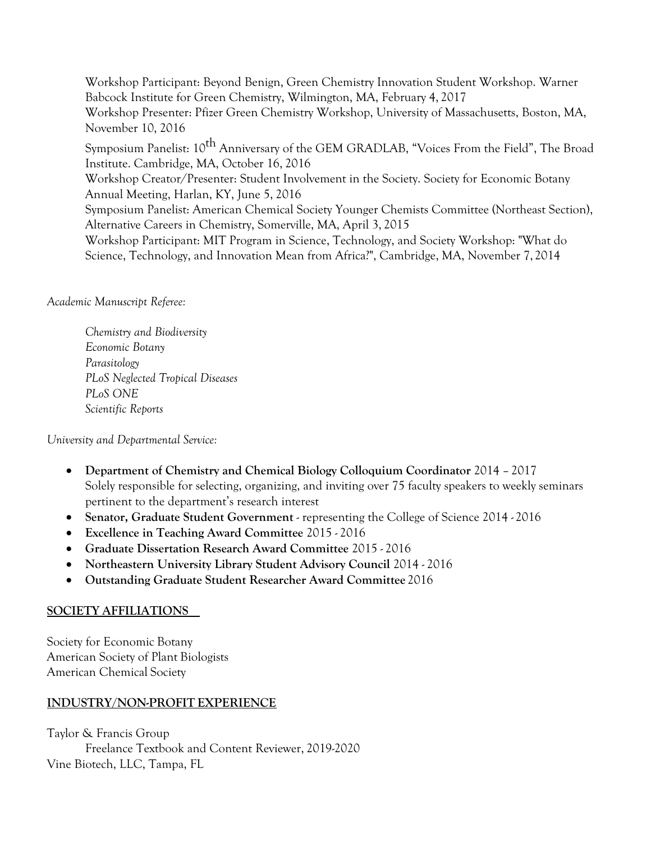Workshop Participant: Beyond Benign, Green Chemistry Innovation Student Workshop. Warner Babcock Institute for Green Chemistry, Wilmington, MA, February 4, 2017 Workshop Presenter: Pfizer Green Chemistry Workshop, University of Massachusetts, Boston, MA, November 10, 2016

Symposium Panelist: 10<sup>th</sup> Anniversary of the GEM GRADLAB, "Voices From the Field", The Broad Institute. Cambridge, MA, October 16, 2016

Workshop Creator/Presenter: Student Involvement in the Society. Society for Economic Botany Annual Meeting, Harlan, KY, June 5, 2016

Symposium Panelist: American Chemical Society Younger Chemists Committee (Northeast Section), Alternative Careers in Chemistry, Somerville, MA, April 3, 2015

Workshop Participant: MIT Program in Science, Technology, and Society Workshop: "What do Science, Technology, and Innovation Mean from Africa?", Cambridge, MA, November 7, 2014

*Academic Manuscript Referee:*

*Chemistry and Biodiversity Economic Botany Parasitology PLoS Neglected Tropical Diseases PLoS ONE Scientific Reports*

*University and Departmental Service:*

- **Department of Chemistry and Chemical Biology Colloquium Coordinator** 2014 2017 Solely responsible for selecting, organizing, and inviting over 75 faculty speakers to weekly seminars pertinent to the department's research interest
- **Senator, Graduate Student Government**  representing the College of Science 2014 2016
- **Excellence in Teaching Award Committee** 2015 2016
- **Graduate Dissertation Research Award Committee** 2015 2016
- **Northeastern University Library Student Advisory Council** 2014 2016
- **Outstanding Graduate Student Researcher Award Committee** 2016

### **SOCIETY AFFILIATIONS**

Society for Economic Botany American Society of Plant Biologists American Chemical Society

### **INDUSTRY/NON-PROFIT EXPERIENCE**

Taylor & Francis Group Freelance Textbook and Content Reviewer, 2019-2020 Vine Biotech, LLC, Tampa, FL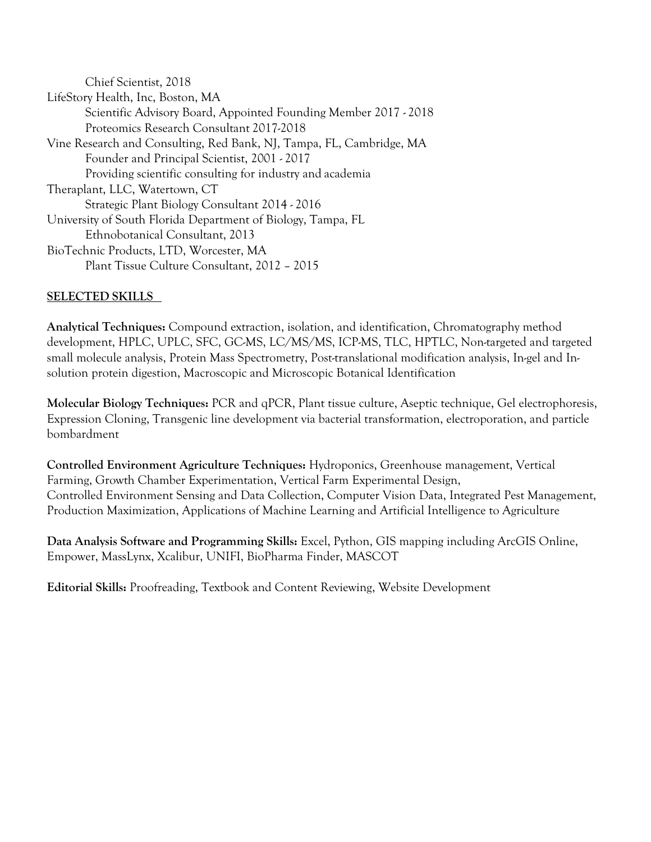Chief Scientist, 2018 LifeStory Health, Inc, Boston, MA Scientific Advisory Board, Appointed Founding Member 2017 - 2018 Proteomics Research Consultant 2017-2018 Vine Research and Consulting, Red Bank, NJ, Tampa, FL, Cambridge, MA Founder and Principal Scientist, 2001 - 2017 Providing scientific consulting for industry and academia Theraplant, LLC, Watertown, CT Strategic Plant Biology Consultant 2014 - 2016 University of South Florida Department of Biology, Tampa, FL Ethnobotanical Consultant, 2013 BioTechnic Products, LTD, Worcester, MA Plant Tissue Culture Consultant, 2012 – 2015

## **SELECTED SKILLS**

**Analytical Techniques:** Compound extraction, isolation, and identification, Chromatography method development, HPLC, UPLC, SFC, GC-MS, LC/MS/MS, ICP-MS, TLC, HPTLC, Non-targeted and targeted small molecule analysis, Protein Mass Spectrometry, Post-translational modification analysis, In-gel and Insolution protein digestion, Macroscopic and Microscopic Botanical Identification

**Molecular Biology Techniques:** PCR and qPCR, Plant tissue culture, Aseptic technique, Gel electrophoresis, Expression Cloning, Transgenic line development via bacterial transformation, electroporation, and particle bombardment

**Controlled Environment Agriculture Techniques:** Hydroponics, Greenhouse management, Vertical Farming, Growth Chamber Experimentation, Vertical Farm Experimental Design, Controlled Environment Sensing and Data Collection, Computer Vision Data, Integrated Pest Management, Production Maximization, Applications of Machine Learning and Artificial Intelligence to Agriculture

**Data Analysis Software and Programming Skills:** Excel, Python, GIS mapping including ArcGIS Online, Empower, MassLynx, Xcalibur, UNIFI, BioPharma Finder, MASCOT

**Editorial Skills:** Proofreading, Textbook and Content Reviewing, Website Development